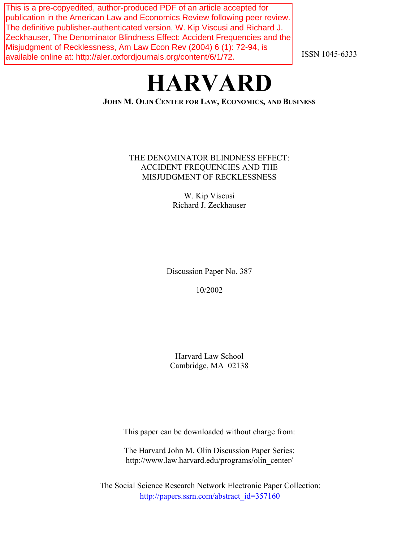This is a pre-copyedited, author-produced PDF of an article accepted for publication in the American Law and Economics Review following peer review. The definitive publisher-authenticated version, W. Kip Viscusi and Richard J. Zeckhauser, The Denominator Blindness Effect: Accident Frequencies and the Misjudgment of Recklessness, Am Law Econ Rev (2004) 6 (1): 72-94, is available online at: http://aler.oxfordjournals.org/content/6/1/72.

ISSN 1045-6333

# **HARVARD**

# **JOHN M. OLIN CENTER FOR LAW, ECONOMICS, AND BUSINESS**

# THE DENOMINATOR BLINDNESS EFFECT: ACCIDENT FREQUENCIES AND THE MISJUDGMENT OF RECKLESSNESS

W. Kip Viscusi Richard J. Zeckhauser

Discussion Paper No. 387

10/2002

Harvard Law School Cambridge, MA 02138

This paper can be downloaded without charge from:

The Harvard John M. Olin Discussion Paper Series: http://www.law.harvard.edu/programs/olin\_center/

The Social Science Research Network Electronic Paper Collection: [http://papers.ssrn.com/abstract\\_id=357160](http://papers.ssrn.com/abstract_id=357160)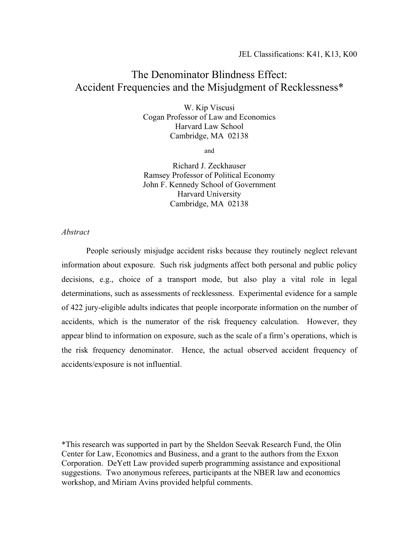# The Denominator Blindness Effect: Accident Frequencies and the Misjudgment of Recklessness\*

W. Kip Viscusi Cogan Professor of Law and Economics Harvard Law School Cambridge, MA 02138

and

Richard J. Zeckhauser Ramsey Professor of Political Economy John F. Kennedy School of Government Harvard University Cambridge, MA 02138

*Abstract* 

 People seriously misjudge accident risks because they routinely neglect relevant information about exposure. Such risk judgments affect both personal and public policy decisions, e.g., choice of a transport mode, but also play a vital role in legal determinations, such as assessments of recklessness. Experimental evidence for a sample of 422 jury-eligible adults indicates that people incorporate information on the number of accidents, which is the numerator of the risk frequency calculation. However, they appear blind to information on exposure, such as the scale of a firm's operations, which is the risk frequency denominator. Hence, the actual observed accident frequency of accidents/exposure is not influential.

\*This research was supported in part by the Sheldon Seevak Research Fund, the Olin Center for Law, Economics and Business, and a grant to the authors from the Exxon Corporation. DeYett Law provided superb programming assistance and expositional suggestions. Two anonymous referees, participants at the NBER law and economics workshop, and Miriam Avins provided helpful comments.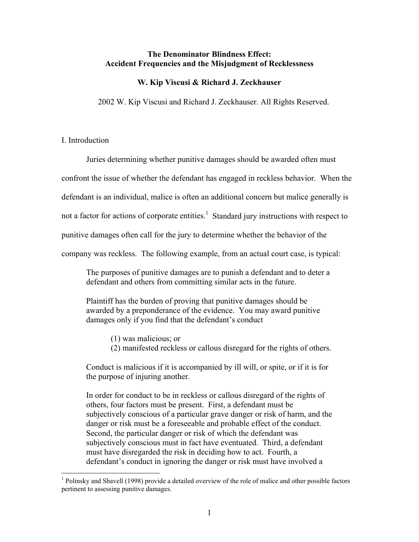## **The Denominator Blindness Effect: Accident Frequencies and the Misjudgment of Recklessness**

#### **W. Kip Viscusi & Richard J. Zeckhauser**

2002 W. Kip Viscusi and Richard J. Zeckhauser. All Rights Reserved.

# I. Introduction

Juries determining whether punitive damages should be awarded often must

confront the issue of whether the defendant has engaged in reckless behavior. When the

defendant is an individual, malice is often an additional concern but malice generally is

not a factor for actions of corporate entities.<sup>1</sup> Standard jury instructions with respect to

punitive damages often call for the jury to determine whether the behavior of the

company was reckless. The following example, from an actual court case, is typical:

The purposes of punitive damages are to punish a defendant and to deter a defendant and others from committing similar acts in the future.

Plaintiff has the burden of proving that punitive damages should be awarded by a preponderance of the evidence. You may award punitive damages only if you find that the defendant's conduct

- (1) was malicious; or
- (2) manifested reckless or callous disregard for the rights of others.

Conduct is malicious if it is accompanied by ill will, or spite, or if it is for the purpose of injuring another.

In order for conduct to be in reckless or callous disregard of the rights of others, four factors must be present. First, a defendant must be subjectively conscious of a particular grave danger or risk of harm, and the danger or risk must be a foreseeable and probable effect of the conduct. Second, the particular danger or risk of which the defendant was subjectively conscious must in fact have eventuated. Third, a defendant must have disregarded the risk in deciding how to act. Fourth, a defendant's conduct in ignoring the danger or risk must have involved a

<sup>&</sup>lt;sup>1</sup> Polinsky and Shavell (1998) provide a detailed overview of the role of malice and other possible factors pertinent to assessing punitive damages.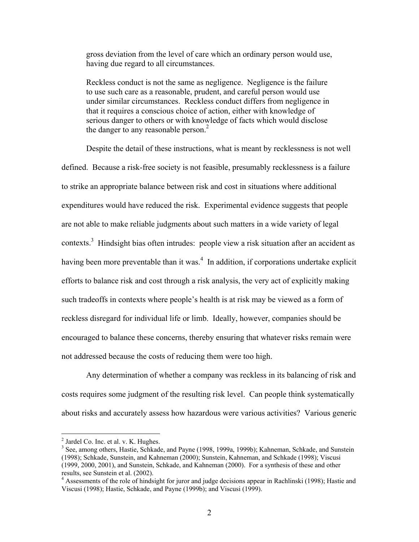gross deviation from the level of care which an ordinary person would use, having due regard to all circumstances.

Reckless conduct is not the same as negligence. Negligence is the failure to use such care as a reasonable, prudent, and careful person would use under similar circumstances. Reckless conduct differs from negligence in that it requires a conscious choice of action, either with knowledge of serious danger to others or with knowledge of facts which would disclose the danger to any reasonable person. $<sup>2</sup>$ </sup>

 Despite the detail of these instructions, what is meant by recklessness is not well defined. Because a risk-free society is not feasible, presumably recklessness is a failure to strike an appropriate balance between risk and cost in situations where additional expenditures would have reduced the risk. Experimental evidence suggests that people are not able to make reliable judgments about such matters in a wide variety of legal contexts.<sup>3</sup> Hindsight bias often intrudes: people view a risk situation after an accident as having been more preventable than it was.<sup>4</sup> In addition, if corporations undertake explicit efforts to balance risk and cost through a risk analysis, the very act of explicitly making such tradeoffs in contexts where people's health is at risk may be viewed as a form of reckless disregard for individual life or limb. Ideally, however, companies should be encouraged to balance these concerns, thereby ensuring that whatever risks remain were not addressed because the costs of reducing them were too high.

 Any determination of whether a company was reckless in its balancing of risk and costs requires some judgment of the resulting risk level. Can people think systematically about risks and accurately assess how hazardous were various activities? Various generic

 2 Jardel Co. Inc. et al. v. K. Hughes.

<sup>&</sup>lt;sup>3</sup> See, among others, Hastie, Schkade, and Payne (1998, 1999a, 1999b); Kahneman, Schkade, and Sunstein (1998); Schkade, Sunstein, and Kahneman (2000); Sunstein, Kahneman, and Schkade (1998); Viscusi (1999, 2000, 2001), and Sunstein, Schkade, and Kahneman (2000). For a synthesis of these and other results, see Sunstein et al. (2002).

<sup>&</sup>lt;sup>4</sup> Assessments of the role of hindsight for juror and judge decisions appear in Rachlinski (1998); Hastie and Viscusi (1998); Hastie, Schkade, and Payne (1999b); and Viscusi (1999).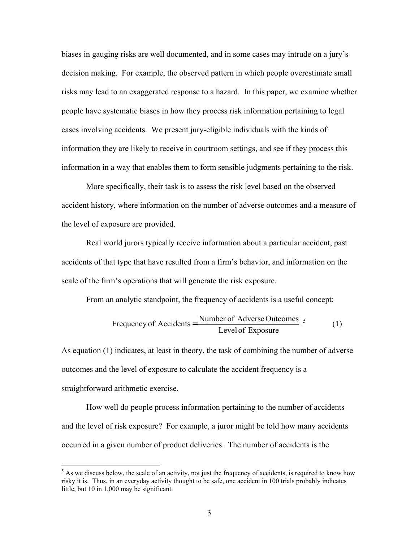biases in gauging risks are well documented, and in some cases may intrude on a jury's decision making. For example, the observed pattern in which people overestimate small risks may lead to an exaggerated response to a hazard. In this paper, we examine whether people have systematic biases in how they process risk information pertaining to legal cases involving accidents. We present jury-eligible individuals with the kinds of information they are likely to receive in courtroom settings, and see if they process this information in a way that enables them to form sensible judgments pertaining to the risk.

 More specifically, their task is to assess the risk level based on the observed accident history, where information on the number of adverse outcomes and a measure of the level of exposure are provided.

Real world jurors typically receive information about a particular accident, past accidents of that type that have resulted from a firm's behavior, and information on the scale of the firm's operations that will generate the risk exposure.

From an analytic standpoint, the frequency of accidents is a useful concept:

Frequency of Accidents = 
$$
\frac{\text{Number of Adverse Outcomes}}{\text{Level of Exposure}}.
$$
 (1)

As equation (1) indicates, at least in theory, the task of combining the number of adverse outcomes and the level of exposure to calculate the accident frequency is a straightforward arithmetic exercise.

 How well do people process information pertaining to the number of accidents and the level of risk exposure? For example, a juror might be told how many accidents occurred in a given number of product deliveries. The number of accidents is the

 $<sup>5</sup>$  As we discuss below, the scale of an activity, not just the frequency of accidents, is required to know how</sup> risky it is. Thus, in an everyday activity thought to be safe, one accident in 100 trials probably indicates little, but 10 in 1,000 may be significant.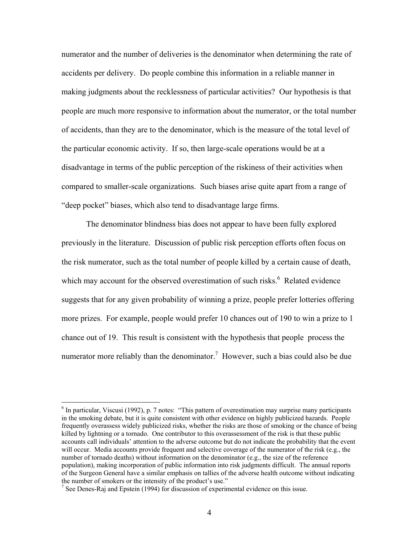numerator and the number of deliveries is the denominator when determining the rate of accidents per delivery. Do people combine this information in a reliable manner in making judgments about the recklessness of particular activities? Our hypothesis is that people are much more responsive to information about the numerator, or the total number of accidents, than they are to the denominator, which is the measure of the total level of the particular economic activity. If so, then large-scale operations would be at a disadvantage in terms of the public perception of the riskiness of their activities when compared to smaller-scale organizations. Such biases arise quite apart from a range of "deep pocket" biases, which also tend to disadvantage large firms.

The denominator blindness bias does not appear to have been fully explored previously in the literature. Discussion of public risk perception efforts often focus on the risk numerator, such as the total number of people killed by a certain cause of death, which may account for the observed overestimation of such risks. $<sup>6</sup>$  Related evidence</sup> suggests that for any given probability of winning a prize, people prefer lotteries offering more prizes. For example, people would prefer 10 chances out of 190 to win a prize to 1 chance out of 19. This result is consistent with the hypothesis that people process the numerator more reliably than the denominator.<sup>7</sup> However, such a bias could also be due

<sup>&</sup>lt;sup>6</sup> In particular, Viscusi (1992), p. 7 notes: "This pattern of overestimation may surprise many participants in the smoking debate, but it is quite consistent with other evidence on highly publicized hazards. People frequently overassess widely publicized risks, whether the risks are those of smoking or the chance of being killed by lightning or a tornado. One contributor to this overassessment of the risk is that these public accounts call individuals' attention to the adverse outcome but do not indicate the probability that the event will occur. Media accounts provide frequent and selective coverage of the numerator of the risk (e.g., the number of tornado deaths) without information on the denominator (e.g., the size of the reference population), making incorporation of public information into risk judgments difficult. The annual reports of the Surgeon General have a similar emphasis on tallies of the adverse health outcome without indicating the number of smokers or the intensity of the product's use."

<sup>&</sup>lt;sup>7</sup> See Denes-Raj and Epstein (1994) for discussion of experimental evidence on this issue.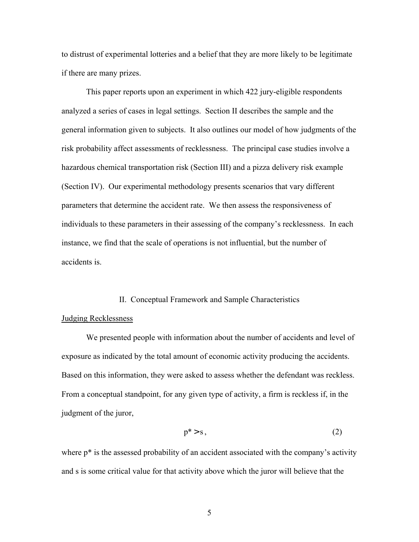to distrust of experimental lotteries and a belief that they are more likely to be legitimate if there are many prizes.

 This paper reports upon an experiment in which 422 jury-eligible respondents analyzed a series of cases in legal settings. Section II describes the sample and the general information given to subjects. It also outlines our model of how judgments of the risk probability affect assessments of recklessness. The principal case studies involve a hazardous chemical transportation risk (Section III) and a pizza delivery risk example (Section IV). Our experimental methodology presents scenarios that vary different parameters that determine the accident rate. We then assess the responsiveness of individuals to these parameters in their assessing of the company's recklessness. In each instance, we find that the scale of operations is not influential, but the number of accidents is.

#### II. Conceptual Framework and Sample Characteristics

#### Judging Recklessness

 We presented people with information about the number of accidents and level of exposure as indicated by the total amount of economic activity producing the accidents. Based on this information, they were asked to assess whether the defendant was reckless. From a conceptual standpoint, for any given type of activity, a firm is reckless if, in the judgment of the juror,

$$
p^* > s \tag{2}
$$

where  $p^*$  is the assessed probability of an accident associated with the company's activity and s is some critical value for that activity above which the juror will believe that the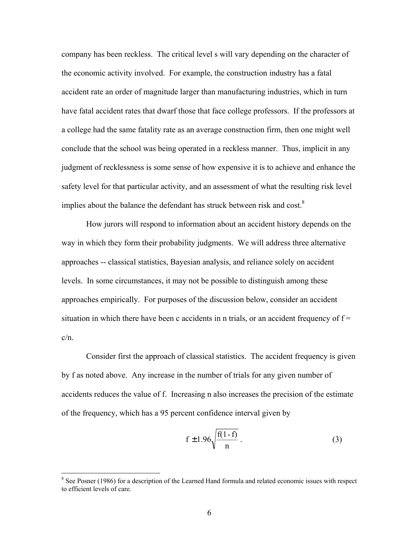company has been reckless. The critical level s will vary depending on the character of the economic activity involved. For example, the construction industry has a fatal accident rate an order of magnitude larger than manufacturing industries, which in turn have fatal accident rates that dwarf those that face college professors. If the professors at a college had the same fatality rate as an average construction firm, then one might well conclude that the school was being operated in a reckless manner. Thus, implicit in any judgment of recklessness is some sense of how expensive it is to achieve and enhance the safety level for that particular activity, and an assessment of what the resulting risk level implies about the balance the defendant has struck between risk and cost.<sup>8</sup>

 How jurors will respond to information about an accident history depends on the way in which they form their probability judgments. We will address three alternative approaches -- classical statistics, Bayesian analysis, and reliance solely on accident levels. In some circumstances, it may not be possible to distinguish among these approaches empirically. For purposes of the discussion below, consider an accident situation in which there have been c accidents in n trials, or an accident frequency of  $f =$ c/n.

 Consider first the approach of classical statistics. The accident frequency is given by f as noted above. Any increase in the number of trials for any given number of accidents reduces the value of f. Increasing n also increases the precision of the estimate of the frequency, which has a 95 percent confidence interval given by

$$
f \pm 1.96 \sqrt{\frac{f(1-f)}{n}} \,. \tag{3}
$$

<sup>&</sup>lt;sup>8</sup> See Posner (1986) for a description of the Learned Hand formula and related economic issues with respect to efficient levels of care.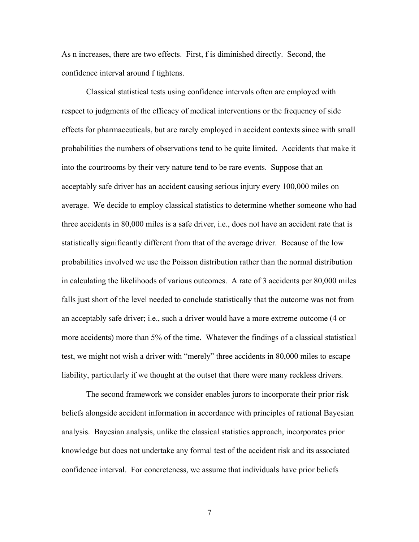As n increases, there are two effects. First, f is diminished directly. Second, the confidence interval around f tightens.

 Classical statistical tests using confidence intervals often are employed with respect to judgments of the efficacy of medical interventions or the frequency of side effects for pharmaceuticals, but are rarely employed in accident contexts since with small probabilities the numbers of observations tend to be quite limited. Accidents that make it into the courtrooms by their very nature tend to be rare events. Suppose that an acceptably safe driver has an accident causing serious injury every 100,000 miles on average. We decide to employ classical statistics to determine whether someone who had three accidents in 80,000 miles is a safe driver, i.e., does not have an accident rate that is statistically significantly different from that of the average driver. Because of the low probabilities involved we use the Poisson distribution rather than the normal distribution in calculating the likelihoods of various outcomes. A rate of 3 accidents per 80,000 miles falls just short of the level needed to conclude statistically that the outcome was not from an acceptably safe driver; i.e., such a driver would have a more extreme outcome (4 or more accidents) more than 5% of the time. Whatever the findings of a classical statistical test, we might not wish a driver with "merely" three accidents in 80,000 miles to escape liability, particularly if we thought at the outset that there were many reckless drivers.

 The second framework we consider enables jurors to incorporate their prior risk beliefs alongside accident information in accordance with principles of rational Bayesian analysis. Bayesian analysis, unlike the classical statistics approach, incorporates prior knowledge but does not undertake any formal test of the accident risk and its associated confidence interval. For concreteness, we assume that individuals have prior beliefs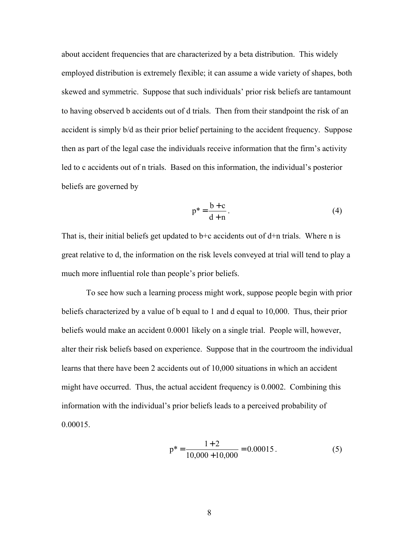about accident frequencies that are characterized by a beta distribution. This widely employed distribution is extremely flexible; it can assume a wide variety of shapes, both skewed and symmetric. Suppose that such individuals' prior risk beliefs are tantamount to having observed b accidents out of d trials. Then from their standpoint the risk of an accident is simply b/d as their prior belief pertaining to the accident frequency. Suppose then as part of the legal case the individuals receive information that the firm's activity led to c accidents out of n trials. Based on this information, the individual's posterior beliefs are governed by

$$
p^* = \frac{b+c}{d+n}.
$$
 (4)

That is, their initial beliefs get updated to  $b+c$  accidents out of  $d+n$  trials. Where n is great relative to d, the information on the risk levels conveyed at trial will tend to play a much more influential role than people's prior beliefs.

 To see how such a learning process might work, suppose people begin with prior beliefs characterized by a value of b equal to 1 and d equal to 10,000. Thus, their prior beliefs would make an accident 0.0001 likely on a single trial. People will, however, alter their risk beliefs based on experience. Suppose that in the courtroom the individual learns that there have been 2 accidents out of 10,000 situations in which an accident might have occurred. Thus, the actual accident frequency is 0.0002. Combining this information with the individual's prior beliefs leads to a perceived probability of 0.00015.

$$
p^* = \frac{1+2}{10,000+10,000} = 0.00015.
$$
 (5)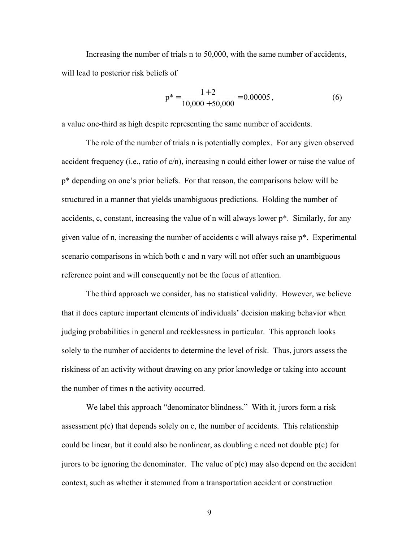Increasing the number of trials n to 50,000, with the same number of accidents, will lead to posterior risk beliefs of

$$
p^* = \frac{1+2}{10,000+50,000} = 0.00005,
$$
 (6)

a value one-third as high despite representing the same number of accidents.

 The role of the number of trials n is potentially complex. For any given observed accident frequency (i.e., ratio of c/n), increasing n could either lower or raise the value of p\* depending on one's prior beliefs. For that reason, the comparisons below will be structured in a manner that yields unambiguous predictions. Holding the number of accidents, c, constant, increasing the value of n will always lower p\*. Similarly, for any given value of n, increasing the number of accidents c will always raise p\*. Experimental scenario comparisons in which both c and n vary will not offer such an unambiguous reference point and will consequently not be the focus of attention.

 The third approach we consider, has no statistical validity. However, we believe that it does capture important elements of individuals' decision making behavior when judging probabilities in general and recklessness in particular. This approach looks solely to the number of accidents to determine the level of risk. Thus, jurors assess the riskiness of an activity without drawing on any prior knowledge or taking into account the number of times n the activity occurred.

We label this approach "denominator blindness." With it, jurors form a risk assessment p(c) that depends solely on c, the number of accidents. This relationship could be linear, but it could also be nonlinear, as doubling c need not double p(c) for jurors to be ignoring the denominator. The value of  $p(c)$  may also depend on the accident context, such as whether it stemmed from a transportation accident or construction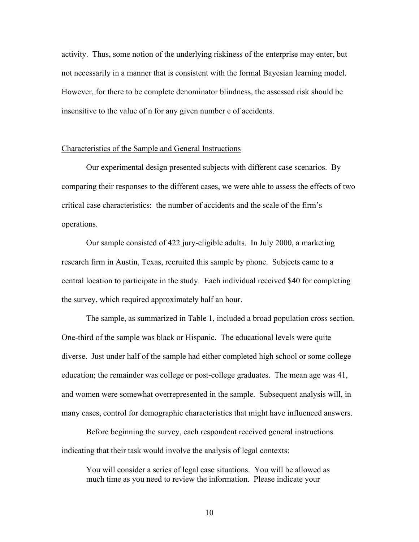activity. Thus, some notion of the underlying riskiness of the enterprise may enter, but not necessarily in a manner that is consistent with the formal Bayesian learning model. However, for there to be complete denominator blindness, the assessed risk should be insensitive to the value of n for any given number c of accidents.

#### Characteristics of the Sample and General Instructions

 Our experimental design presented subjects with different case scenarios. By comparing their responses to the different cases, we were able to assess the effects of two critical case characteristics: the number of accidents and the scale of the firm's operations.

 Our sample consisted of 422 jury-eligible adults. In July 2000, a marketing research firm in Austin, Texas, recruited this sample by phone. Subjects came to a central location to participate in the study. Each individual received \$40 for completing the survey, which required approximately half an hour.

 The sample, as summarized in Table 1, included a broad population cross section. One-third of the sample was black or Hispanic. The educational levels were quite diverse. Just under half of the sample had either completed high school or some college education; the remainder was college or post-college graduates. The mean age was 41, and women were somewhat overrepresented in the sample. Subsequent analysis will, in many cases, control for demographic characteristics that might have influenced answers.

 Before beginning the survey, each respondent received general instructions indicating that their task would involve the analysis of legal contexts:

You will consider a series of legal case situations. You will be allowed as much time as you need to review the information. Please indicate your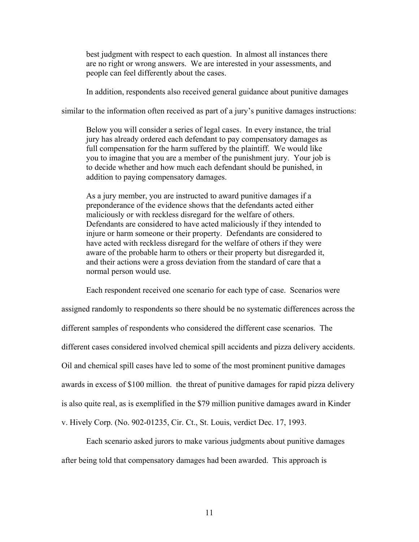best judgment with respect to each question. In almost all instances there are no right or wrong answers. We are interested in your assessments, and people can feel differently about the cases.

In addition, respondents also received general guidance about punitive damages

similar to the information often received as part of a jury's punitive damages instructions:

Below you will consider a series of legal cases. In every instance, the trial jury has already ordered each defendant to pay compensatory damages as full compensation for the harm suffered by the plaintiff. We would like you to imagine that you are a member of the punishment jury. Your job is to decide whether and how much each defendant should be punished, in addition to paying compensatory damages.

As a jury member, you are instructed to award punitive damages if a preponderance of the evidence shows that the defendants acted either maliciously or with reckless disregard for the welfare of others. Defendants are considered to have acted maliciously if they intended to injure or harm someone or their property. Defendants are considered to have acted with reckless disregard for the welfare of others if they were aware of the probable harm to others or their property but disregarded it, and their actions were a gross deviation from the standard of care that a normal person would use.

 Each respondent received one scenario for each type of case. Scenarios were assigned randomly to respondents so there should be no systematic differences across the different samples of respondents who considered the different case scenarios. The different cases considered involved chemical spill accidents and pizza delivery accidents. Oil and chemical spill cases have led to some of the most prominent punitive damages awards in excess of \$100 million. the threat of punitive damages for rapid pizza delivery is also quite real, as is exemplified in the \$79 million punitive damages award in Kinder v. Hively Corp. (No. 902-01235, Cir. Ct., St. Louis, verdict Dec. 17, 1993.

 Each scenario asked jurors to make various judgments about punitive damages after being told that compensatory damages had been awarded. This approach is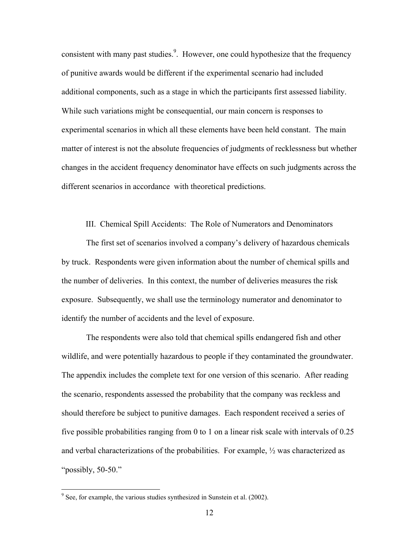consistent with many past studies.<sup>9</sup>. However, one could hypothesize that the frequency of punitive awards would be different if the experimental scenario had included additional components, such as a stage in which the participants first assessed liability. While such variations might be consequential, our main concern is responses to experimental scenarios in which all these elements have been held constant. The main matter of interest is not the absolute frequencies of judgments of recklessness but whether changes in the accident frequency denominator have effects on such judgments across the different scenarios in accordance with theoretical predictions.

III. Chemical Spill Accidents: The Role of Numerators and Denominators

 The first set of scenarios involved a company's delivery of hazardous chemicals by truck. Respondents were given information about the number of chemical spills and the number of deliveries. In this context, the number of deliveries measures the risk exposure. Subsequently, we shall use the terminology numerator and denominator to identify the number of accidents and the level of exposure.

The respondents were also told that chemical spills endangered fish and other wildlife, and were potentially hazardous to people if they contaminated the groundwater. The appendix includes the complete text for one version of this scenario. After reading the scenario, respondents assessed the probability that the company was reckless and should therefore be subject to punitive damages. Each respondent received a series of five possible probabilities ranging from 0 to 1 on a linear risk scale with intervals of 0.25 and verbal characterizations of the probabilities. For example, ½ was characterized as "possibly, 50-50."

 $9^9$  See, for example, the various studies synthesized in Sunstein et al. (2002).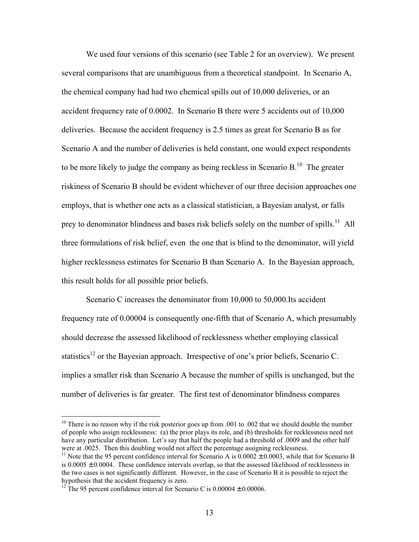We used four versions of this scenario (see Table 2 for an overview). We present several comparisons that are unambiguous from a theoretical standpoint. In Scenario A, the chemical company had had two chemical spills out of 10,000 deliveries, or an accident frequency rate of 0.0002. In Scenario B there were 5 accidents out of 10,000 deliveries. Because the accident frequency is 2.5 times as great for Scenario B as for Scenario A and the number of deliveries is held constant, one would expect respondents to be more likely to judge the company as being reckless in Scenario B.<sup>10</sup> The greater riskiness of Scenario B should be evident whichever of our three decision approaches one employs, that is whether one acts as a classical statistician, a Bayesian analyst, or falls prey to denominator blindness and bases risk beliefs solely on the number of spills.<sup>11</sup> All three formulations of risk belief, even the one that is blind to the denominator, will yield higher recklessness estimates for Scenario B than Scenario A. In the Bayesian approach, this result holds for all possible prior beliefs.

 Scenario C increases the denominator from 10,000 to 50,000.Its accident frequency rate of 0.00004 is consequently one-fifth that of Scenario A, which presumably should decrease the assessed likelihood of recklessness whether employing classical statistics<sup>12</sup> or the Bayesian approach. Irrespective of one's prior beliefs, Scenario C. implies a smaller risk than Scenario A because the number of spills is unchanged, but the number of deliveries is far greater. The first test of denominator blindness compares

 $10$  There is no reason why if the risk posterior goes up from .001 to .002 that we should double the number of people who assign recklessness: (a) the prior plays its role, and (b) thresholds for recklessness need not have any particular distribution. Let's say that half the people had a threshold of .0009 and the other half were at .0025. Then this doubling would not affect the percentage assigning recklessness.

<sup>&</sup>lt;sup>11</sup> Note that the 95 percent confidence interval for Scenario A is  $0.0002 \pm 0.0003$ , while that for Scenario B is 0.0005  $\pm$  0.0004. These confidence intervals overlap, so that the assessed likelihood of recklessness in the two cases is not significantly different. However, in the case of Scenario B it is possible to reject the hypothesis that the accident frequency is zero.

<sup>&</sup>lt;sup>12</sup> The 95 percent confidence interval for Scenario C is  $0.00004 \pm 0.00006$ .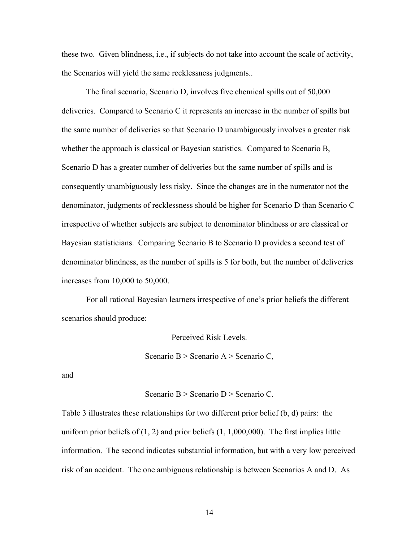these two. Given blindness, i.e., if subjects do not take into account the scale of activity, the Scenarios will yield the same recklessness judgments..

The final scenario, Scenario D, involves five chemical spills out of 50,000 deliveries. Compared to Scenario C it represents an increase in the number of spills but the same number of deliveries so that Scenario D unambiguously involves a greater risk whether the approach is classical or Bayesian statistics. Compared to Scenario B, Scenario D has a greater number of deliveries but the same number of spills and is consequently unambiguously less risky. Since the changes are in the numerator not the denominator, judgments of recklessness should be higher for Scenario D than Scenario C irrespective of whether subjects are subject to denominator blindness or are classical or Bayesian statisticians. Comparing Scenario B to Scenario D provides a second test of denominator blindness, as the number of spills is 5 for both, but the number of deliveries increases from 10,000 to 50,000.

For all rational Bayesian learners irrespective of one's prior beliefs the different scenarios should produce:

Perceived Risk Levels.

Scenario B > Scenario A > Scenario C,

and

Scenario B > Scenario D > Scenario C.

Table 3 illustrates these relationships for two different prior belief (b, d) pairs: the uniform prior beliefs of  $(1, 2)$  and prior beliefs  $(1, 1,000,000)$ . The first implies little information. The second indicates substantial information, but with a very low perceived risk of an accident. The one ambiguous relationship is between Scenarios A and D. As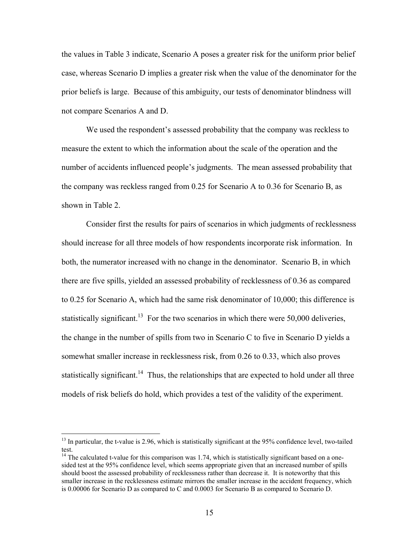the values in Table 3 indicate, Scenario A poses a greater risk for the uniform prior belief case, whereas Scenario D implies a greater risk when the value of the denominator for the prior beliefs is large. Because of this ambiguity, our tests of denominator blindness will not compare Scenarios A and D.

 We used the respondent's assessed probability that the company was reckless to measure the extent to which the information about the scale of the operation and the number of accidents influenced people's judgments. The mean assessed probability that the company was reckless ranged from 0.25 for Scenario A to 0.36 for Scenario B, as shown in Table 2.

 Consider first the results for pairs of scenarios in which judgments of recklessness should increase for all three models of how respondents incorporate risk information. In both, the numerator increased with no change in the denominator. Scenario B, in which there are five spills, yielded an assessed probability of recklessness of 0.36 as compared to 0.25 for Scenario A, which had the same risk denominator of 10,000; this difference is statistically significant.<sup>13</sup> For the two scenarios in which there were 50,000 deliveries, the change in the number of spills from two in Scenario C to five in Scenario D yields a somewhat smaller increase in recklessness risk, from 0.26 to 0.33, which also proves statistically significant.<sup>14</sup> Thus, the relationships that are expected to hold under all three models of risk beliefs do hold, which provides a test of the validity of the experiment.

<sup>&</sup>lt;sup>13</sup> In particular, the t-value is 2.96, which is statistically significant at the 95% confidence level, two-tailed test.

<sup>&</sup>lt;sup>14</sup> The calculated t-value for this comparison was 1.74, which is statistically significant based on a onesided test at the 95% confidence level, which seems appropriate given that an increased number of spills should boost the assessed probability of recklessness rather than decrease it. It is noteworthy that this smaller increase in the recklessness estimate mirrors the smaller increase in the accident frequency, which is 0.00006 for Scenario D as compared to C and 0.0003 for Scenario B as compared to Scenario D.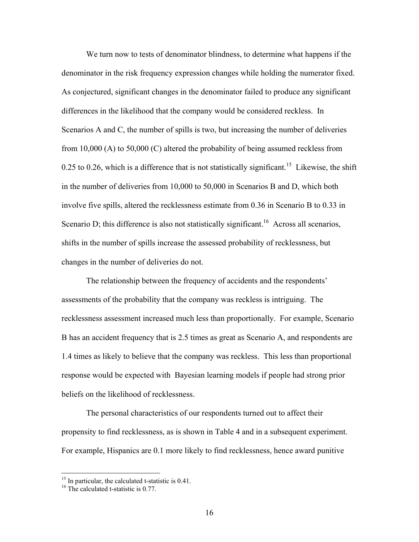We turn now to tests of denominator blindness, to determine what happens if the denominator in the risk frequency expression changes while holding the numerator fixed. As conjectured, significant changes in the denominator failed to produce any significant differences in the likelihood that the company would be considered reckless. In Scenarios A and C, the number of spills is two, but increasing the number of deliveries from 10,000 (A) to 50,000 (C) altered the probability of being assumed reckless from 0.25 to 0.26, which is a difference that is not statistically significant.<sup>15</sup> Likewise, the shift in the number of deliveries from 10,000 to 50,000 in Scenarios B and D, which both involve five spills, altered the recklessness estimate from 0.36 in Scenario B to 0.33 in Scenario D; this difference is also not statistically significant.<sup>16</sup> Across all scenarios, shifts in the number of spills increase the assessed probability of recklessness, but changes in the number of deliveries do not.

 The relationship between the frequency of accidents and the respondents' assessments of the probability that the company was reckless is intriguing. The recklessness assessment increased much less than proportionally. For example, Scenario B has an accident frequency that is 2.5 times as great as Scenario A, and respondents are 1.4 times as likely to believe that the company was reckless. This less than proportional response would be expected with Bayesian learning models if people had strong prior beliefs on the likelihood of recklessness.

 The personal characteristics of our respondents turned out to affect their propensity to find recklessness, as is shown in Table 4 and in a subsequent experiment. For example, Hispanics are 0.1 more likely to find recklessness, hence award punitive

 $15$  In particular, the calculated t-statistic is 0.41.

<sup>&</sup>lt;sup>16</sup> The calculated t-statistic is 0.77.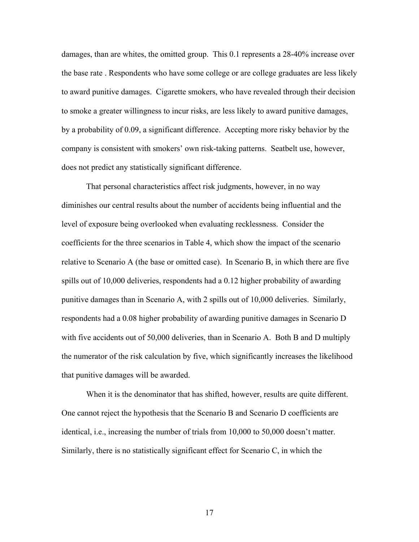damages, than are whites, the omitted group. This 0.1 represents a 28-40% increase over the base rate . Respondents who have some college or are college graduates are less likely to award punitive damages. Cigarette smokers, who have revealed through their decision to smoke a greater willingness to incur risks, are less likely to award punitive damages, by a probability of 0.09, a significant difference. Accepting more risky behavior by the company is consistent with smokers' own risk-taking patterns. Seatbelt use, however, does not predict any statistically significant difference.

 That personal characteristics affect risk judgments, however, in no way diminishes our central results about the number of accidents being influential and the level of exposure being overlooked when evaluating recklessness. Consider the coefficients for the three scenarios in Table 4, which show the impact of the scenario relative to Scenario A (the base or omitted case). In Scenario B, in which there are five spills out of 10,000 deliveries, respondents had a 0.12 higher probability of awarding punitive damages than in Scenario A, with 2 spills out of 10,000 deliveries. Similarly, respondents had a 0.08 higher probability of awarding punitive damages in Scenario D with five accidents out of 50,000 deliveries, than in Scenario A. Both B and D multiply the numerator of the risk calculation by five, which significantly increases the likelihood that punitive damages will be awarded.

When it is the denominator that has shifted, however, results are quite different. One cannot reject the hypothesis that the Scenario B and Scenario D coefficients are identical, i.e., increasing the number of trials from 10,000 to 50,000 doesn't matter. Similarly, there is no statistically significant effect for Scenario C, in which the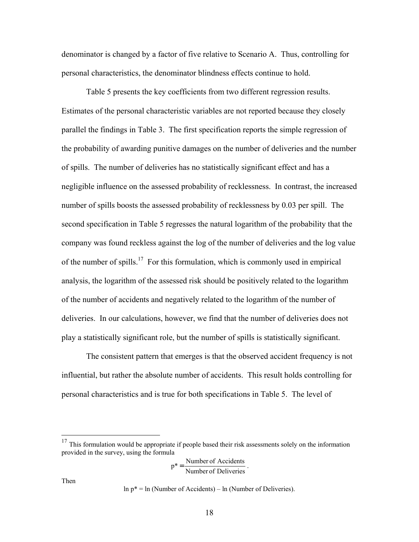denominator is changed by a factor of five relative to Scenario A. Thus, controlling for personal characteristics, the denominator blindness effects continue to hold.

 Table 5 presents the key coefficients from two different regression results. Estimates of the personal characteristic variables are not reported because they closely parallel the findings in Table 3. The first specification reports the simple regression of the probability of awarding punitive damages on the number of deliveries and the number of spills. The number of deliveries has no statistically significant effect and has a negligible influence on the assessed probability of recklessness. In contrast, the increased number of spills boosts the assessed probability of recklessness by 0.03 per spill. The second specification in Table 5 regresses the natural logarithm of the probability that the company was found reckless against the log of the number of deliveries and the log value of the number of spills.<sup>17</sup> For this formulation, which is commonly used in empirical analysis, the logarithm of the assessed risk should be positively related to the logarithm of the number of accidents and negatively related to the logarithm of the number of deliveries. In our calculations, however, we find that the number of deliveries does not play a statistically significant role, but the number of spills is statistically significant.

 The consistent pattern that emerges is that the observed accident frequency is not influential, but rather the absolute number of accidents. This result holds controlling for personal characteristics and is true for both specifications in Table 5. The level of

$$
p^* = \frac{\text{Number of Accidents}}{\text{Number of Deliveries}}.
$$

Then

 $\overline{a}$ 

 $\ln p^* = \ln$  (Number of Accidents) –  $\ln$  (Number of Deliveries).

 $17$  This formulation would be appropriate if people based their risk assessments solely on the information provided in the survey, using the formula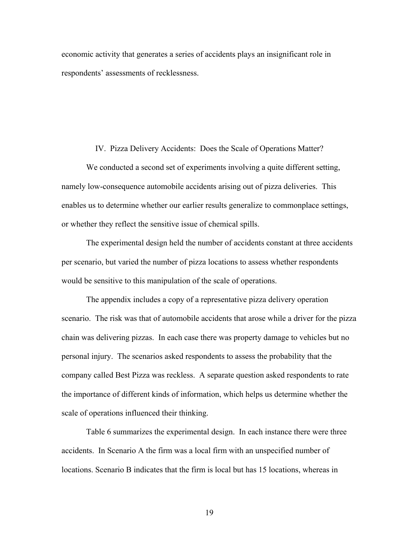economic activity that generates a series of accidents plays an insignificant role in respondents' assessments of recklessness.

#### IV. Pizza Delivery Accidents: Does the Scale of Operations Matter?

 We conducted a second set of experiments involving a quite different setting, namely low-consequence automobile accidents arising out of pizza deliveries. This enables us to determine whether our earlier results generalize to commonplace settings, or whether they reflect the sensitive issue of chemical spills.

The experimental design held the number of accidents constant at three accidents per scenario, but varied the number of pizza locations to assess whether respondents would be sensitive to this manipulation of the scale of operations.

 The appendix includes a copy of a representative pizza delivery operation scenario. The risk was that of automobile accidents that arose while a driver for the pizza chain was delivering pizzas. In each case there was property damage to vehicles but no personal injury. The scenarios asked respondents to assess the probability that the company called Best Pizza was reckless. A separate question asked respondents to rate the importance of different kinds of information, which helps us determine whether the scale of operations influenced their thinking.

 Table 6 summarizes the experimental design. In each instance there were three accidents. In Scenario A the firm was a local firm with an unspecified number of locations. Scenario B indicates that the firm is local but has 15 locations, whereas in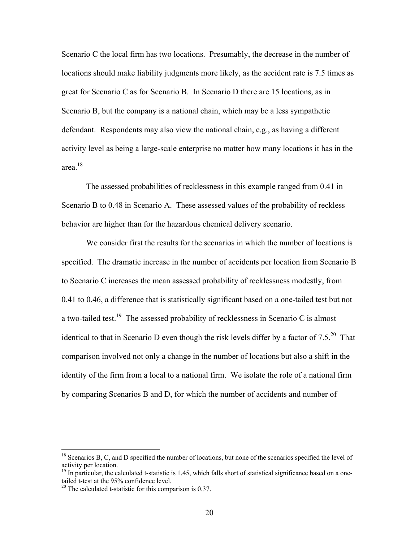Scenario C the local firm has two locations. Presumably, the decrease in the number of locations should make liability judgments more likely, as the accident rate is 7.5 times as great for Scenario C as for Scenario B. In Scenario D there are 15 locations, as in Scenario B, but the company is a national chain, which may be a less sympathetic defendant. Respondents may also view the national chain, e.g., as having a different activity level as being a large-scale enterprise no matter how many locations it has in the area.18

 The assessed probabilities of recklessness in this example ranged from 0.41 in Scenario B to 0.48 in Scenario A. These assessed values of the probability of reckless behavior are higher than for the hazardous chemical delivery scenario.

 We consider first the results for the scenarios in which the number of locations is specified. The dramatic increase in the number of accidents per location from Scenario B to Scenario C increases the mean assessed probability of recklessness modestly, from 0.41 to 0.46, a difference that is statistically significant based on a one-tailed test but not a two-tailed test.<sup>19</sup> The assessed probability of recklessness in Scenario C is almost identical to that in Scenario D even though the risk levels differ by a factor of  $7.5^{20}$  That comparison involved not only a change in the number of locations but also a shift in the identity of the firm from a local to a national firm. We isolate the role of a national firm by comparing Scenarios B and D, for which the number of accidents and number of

<sup>&</sup>lt;sup>18</sup> Scenarios B, C, and D specified the number of locations, but none of the scenarios specified the level of activity per location.

 $19$  In particular, the calculated t-statistic is 1.45, which falls short of statistical significance based on a onetailed t-test at the 95% confidence level.

 $20$  The calculated t-statistic for this comparison is 0.37.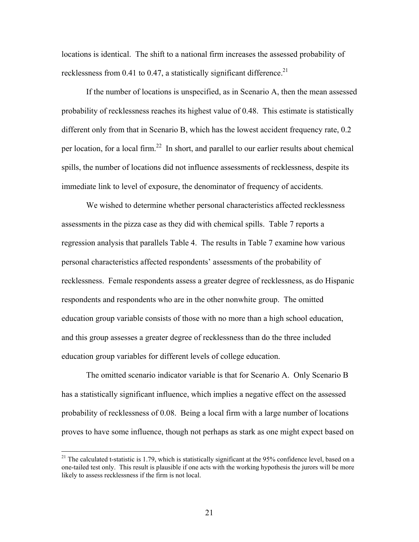locations is identical. The shift to a national firm increases the assessed probability of recklessness from 0.41 to 0.47, a statistically significant difference.<sup>21</sup>

 If the number of locations is unspecified, as in Scenario A, then the mean assessed probability of recklessness reaches its highest value of 0.48. This estimate is statistically different only from that in Scenario B, which has the lowest accident frequency rate, 0.2 per location, for a local firm.22 In short, and parallel to our earlier results about chemical spills, the number of locations did not influence assessments of recklessness, despite its immediate link to level of exposure, the denominator of frequency of accidents.

 We wished to determine whether personal characteristics affected recklessness assessments in the pizza case as they did with chemical spills. Table 7 reports a regression analysis that parallels Table 4. The results in Table 7 examine how various personal characteristics affected respondents' assessments of the probability of recklessness. Female respondents assess a greater degree of recklessness, as do Hispanic respondents and respondents who are in the other nonwhite group. The omitted education group variable consists of those with no more than a high school education, and this group assesses a greater degree of recklessness than do the three included education group variables for different levels of college education.

The omitted scenario indicator variable is that for Scenario A. Only Scenario B has a statistically significant influence, which implies a negative effect on the assessed probability of recklessness of 0.08. Being a local firm with a large number of locations proves to have some influence, though not perhaps as stark as one might expect based on

 $21$  The calculated t-statistic is 1.79, which is statistically significant at the 95% confidence level, based on a one-tailed test only. This result is plausible if one acts with the working hypothesis the jurors will be more likely to assess recklessness if the firm is not local.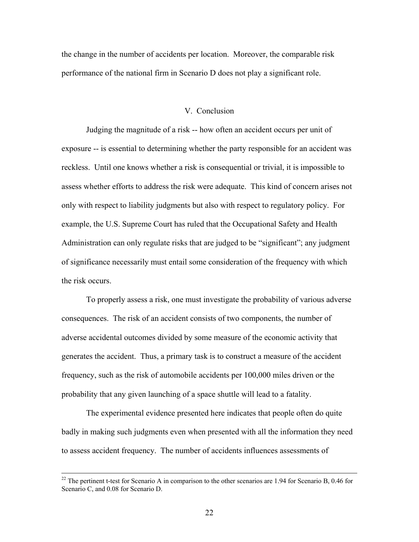the change in the number of accidents per location. Moreover, the comparable risk performance of the national firm in Scenario D does not play a significant role.

### V. Conclusion

 Judging the magnitude of a risk -- how often an accident occurs per unit of exposure -- is essential to determining whether the party responsible for an accident was reckless. Until one knows whether a risk is consequential or trivial, it is impossible to assess whether efforts to address the risk were adequate. This kind of concern arises not only with respect to liability judgments but also with respect to regulatory policy. For example, the U.S. Supreme Court has ruled that the Occupational Safety and Health Administration can only regulate risks that are judged to be "significant"; any judgment of significance necessarily must entail some consideration of the frequency with which the risk occurs.

 To properly assess a risk, one must investigate the probability of various adverse consequences. The risk of an accident consists of two components, the number of adverse accidental outcomes divided by some measure of the economic activity that generates the accident. Thus, a primary task is to construct a measure of the accident frequency, such as the risk of automobile accidents per 100,000 miles driven or the probability that any given launching of a space shuttle will lead to a fatality.

 The experimental evidence presented here indicates that people often do quite badly in making such judgments even when presented with all the information they need to assess accident frequency. The number of accidents influences assessments of

<sup>&</sup>lt;sup>22</sup> The pertinent t-test for Scenario A in comparison to the other scenarios are 1.94 for Scenario B, 0.46 for Scenario C, and 0.08 for Scenario D.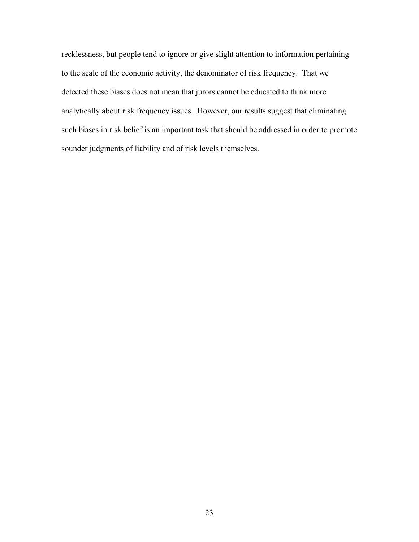recklessness, but people tend to ignore or give slight attention to information pertaining to the scale of the economic activity, the denominator of risk frequency. That we detected these biases does not mean that jurors cannot be educated to think more analytically about risk frequency issues. However, our results suggest that eliminating such biases in risk belief is an important task that should be addressed in order to promote sounder judgments of liability and of risk levels themselves.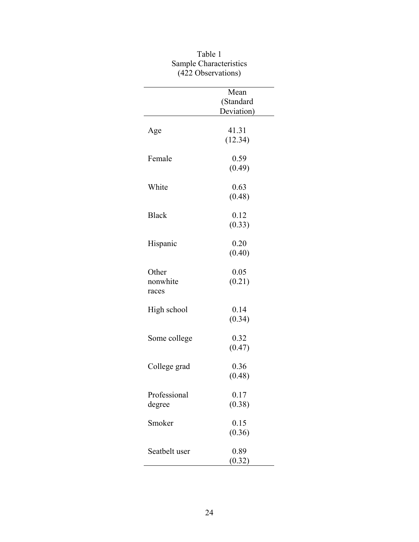|                            | $122$ Observations              |
|----------------------------|---------------------------------|
|                            | Mean<br>(Standard<br>Deviation) |
| Age                        | 41.31<br>(12.34)                |
| Female                     | 0.59<br>(0.49)                  |
| White                      | 0.63<br>(0.48)                  |
| <b>Black</b>               | 0.12<br>(0.33)                  |
| Hispanic                   | 0.20<br>(0.40)                  |
| Other<br>nonwhite<br>races | 0.05<br>(0.21)                  |
| High school                | 0.14<br>(0.34)                  |
| Some college               | 0.32<br>(0.47)                  |
| College grad               | 0.36<br>(0.48)                  |
| Professional<br>degree     | 0.17<br>(0.38)                  |
| Smoker                     | 0.15<br>(0.36)                  |
| Seatbelt user              | 0.89<br>(0.32)                  |

| Table 1                |
|------------------------|
| Sample Characteristics |
| (422 Observations)     |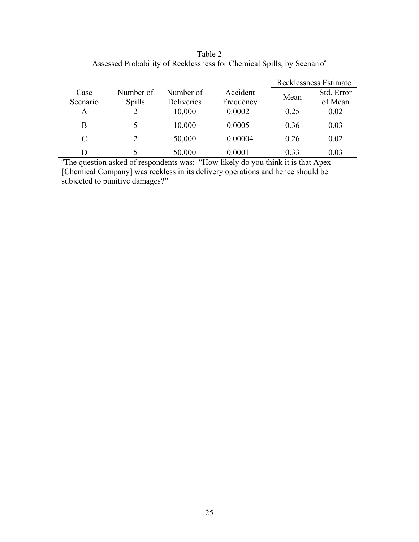|               |           |            |           |      | Recklessness Estimate |
|---------------|-----------|------------|-----------|------|-----------------------|
| Case          | Number of | Number of  | Accident  | Mean | Std. Error            |
| Scenario      | Spills    | Deliveries | Frequency |      | of Mean               |
| A             |           | 10,000     | 0.0002    | 0.25 | 0.02                  |
| B             | 5         | 10,000     | 0.0005    | 0.36 | 0.03                  |
| $\mathcal{C}$ | 2         | 50,000     | 0.00004   | 0.26 | 0.02                  |
| D             |           | 50,000     | 0.0001    | 0.33 | 0.03                  |

Table 2 Assessed Probability of Recklessness for Chemical Spills, by Scenario<sup>a</sup>

 $\frac{D}{a^a}$ The question asked of respondents was: "How likely do you think it is that Apex [Chemical Company] was reckless in its delivery operations and hence should be subjected to punitive damages?"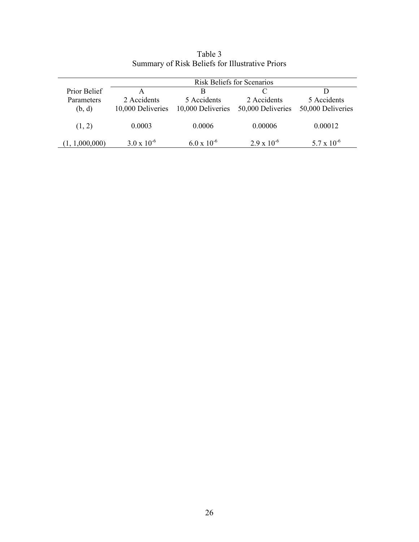|                | <b>Risk Beliefs for Scenarios</b> |                      |                      |                      |
|----------------|-----------------------------------|----------------------|----------------------|----------------------|
| Prior Belief   | А                                 | B                    |                      |                      |
| Parameters     | 2 Accidents                       | 5 Accidents          | 2 Accidents          | 5 Accidents          |
| (b, d)         | 10,000 Deliveries                 | 10,000 Deliveries    | 50,000 Deliveries    | 50,000 Deliveries    |
|                |                                   |                      |                      |                      |
| (1, 2)         | 0.0003                            | 0.0006               | 0.00006              | 0.00012              |
|                |                                   |                      |                      |                      |
| (1, 1,000,000) | $3.0 \times 10^{-6}$              | $6.0 \times 10^{-6}$ | $2.9 \times 10^{-6}$ | $5.7 \times 10^{-6}$ |

Table 3 Summary of Risk Beliefs for Illustrative Priors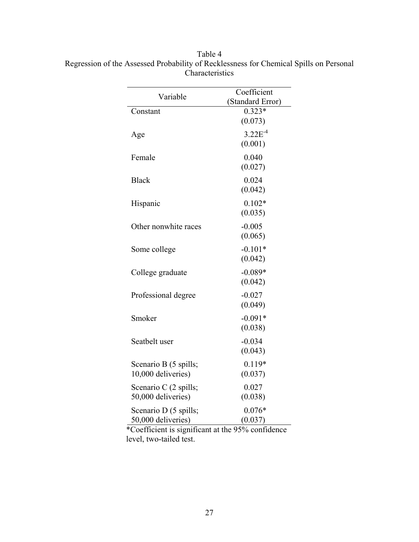| Variable                                    | Coefficient<br>(Standard Error) |
|---------------------------------------------|---------------------------------|
| Constant                                    | $0.323*$<br>(0.073)             |
| Age                                         | $3.22E^{-4}$<br>(0.001)         |
| Female                                      | 0.040<br>(0.027)                |
| <b>Black</b>                                | 0.024<br>(0.042)                |
| Hispanic                                    | $0.102*$<br>(0.035)             |
| Other nonwhite races                        | $-0.005$<br>(0.065)             |
| Some college                                | $-0.101*$<br>(0.042)            |
| College graduate                            | $-0.089*$<br>(0.042)            |
| Professional degree                         | $-0.027$<br>(0.049)             |
| Smoker                                      | $-0.091*$<br>(0.038)            |
| Seatbelt user                               | $-0.034$<br>(0.043)             |
| Scenario B (5 spills;<br>10,000 deliveries) | $0.119*$<br>(0.037)             |
| Scenario C (2 spills;<br>50,000 deliveries) | 0.027<br>(0.038)                |
| Scenario D (5 spills;<br>50,000 deliveries) | $0.076*$<br>(0.037)             |

Table 4 Regression of the Assessed Probability of Recklessness for Chemical Spills on Personal Characteristics

\*Coefficient is significant at the 95% confidence level, two-tailed test.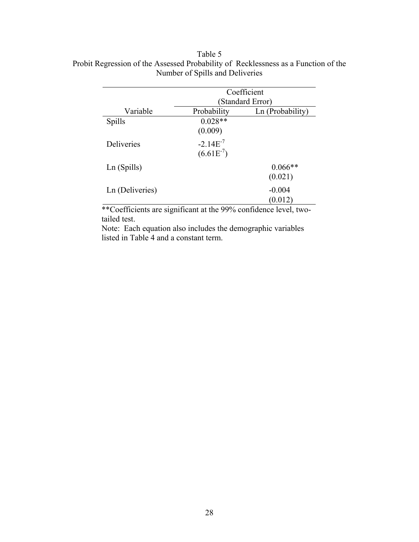|                   | Coefficient      |                  |  |
|-------------------|------------------|------------------|--|
|                   | (Standard Error) |                  |  |
| Variable          | Probability      | Ln (Probability) |  |
| Spills            | $0.028**$        |                  |  |
|                   | (0.009)          |                  |  |
| <b>Deliveries</b> | $-2.14E^{-7}$    |                  |  |
|                   | $(6.61E^{-7})$   |                  |  |
| Ln (Spills)       |                  | $0.066**$        |  |
|                   |                  | (0.021)          |  |
| Ln (Deliveries)   |                  | $-0.004$         |  |
|                   |                  |                  |  |
|                   |                  | (0.012)          |  |

# Table 5 Probit Regression of the Assessed Probability of Recklessness as a Function of the Number of Spills and Deliveries

\*\*Coefficients are significant at the 99% confidence level, twotailed test.

Note: Each equation also includes the demographic variables listed in Table 4 and a constant term.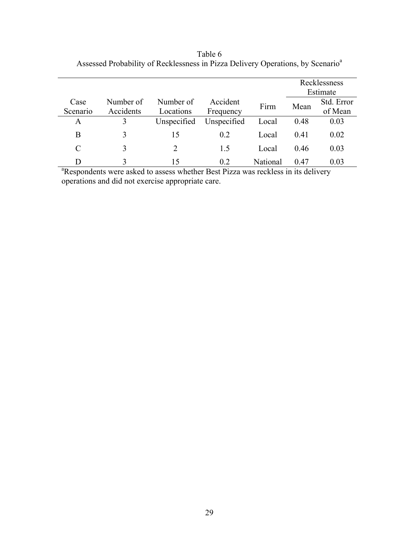|          |           |             |             |          | Recklessness<br>Estimate |            |
|----------|-----------|-------------|-------------|----------|--------------------------|------------|
| Case     | Number of | Number of   | Accident    | Firm     | Mean                     | Std. Error |
| Scenario | Accidents | Locations   | Frequency   |          |                          | of Mean    |
| A        | 3         | Unspecified | Unspecified | Local    | 0.48                     | 0.03       |
| B        | 3         | 15          | 0.2         | Local    | 0.41                     | 0.02       |
| C        | 3         | 2           | 1.5         | Local    | 0.46                     | 0.03       |
| D        |           | 15          | 0.2         | National | 0.47                     | 0.03       |

Table 6 Assessed Probability of Recklessness in Pizza Delivery Operations, by Scenario<sup>a</sup>

D 3 15 0.2 National 0.47 0.03<br>
<sup>a</sup>Respondents were asked to assess whether Best Pizza was reckless in its delivery operations and did not exercise appropriate care.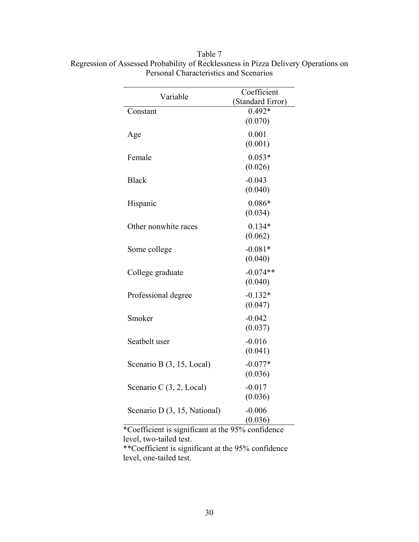| Variable                     | Coefficient<br>(Standard Error) |  |  |
|------------------------------|---------------------------------|--|--|
| Constant                     | $0.492*$<br>(0.070)             |  |  |
| Age                          | 0.001<br>(0.001)                |  |  |
| Female                       | $0.053*$<br>(0.026)             |  |  |
| <b>Black</b>                 | $-0.043$<br>(0.040)             |  |  |
| Hispanic                     | $0.086*$<br>(0.034)             |  |  |
| Other nonwhite races         | $0.134*$<br>(0.062)             |  |  |
| Some college                 | $-0.081*$<br>(0.040)            |  |  |
| College graduate             | $-0.074**$<br>(0.040)           |  |  |
| Professional degree          | $-0.132*$<br>(0.047)            |  |  |
| Smoker                       | $-0.042$<br>(0.037)             |  |  |
| Seatbelt user                | $-0.016$<br>(0.041)             |  |  |
| Scenario B (3, 15, Local)    | $-0.077*$<br>(0.036)            |  |  |
| Scenario C (3, 2, Local)     | $-0.017$<br>(0.036)             |  |  |
| Scenario D (3, 15, National) | $-0.006$<br>(0.036)             |  |  |

Table 7 Regression of Assessed Probability of Recklessness in Pizza Delivery Operations on Personal Characteristics and Scenarios

\*Coefficient is significant at the 95% confidence level, two-tailed test. \*\*Coefficient is significant at the 95% confidence

level, one-tailed test.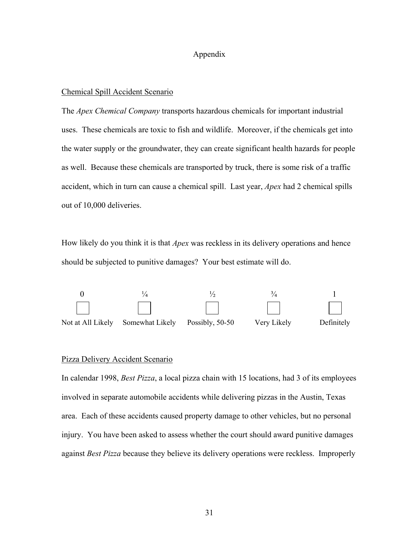#### Appendix

#### Chemical Spill Accident Scenario

The *Apex Chemical Company* transports hazardous chemicals for important industrial uses. These chemicals are toxic to fish and wildlife. Moreover, if the chemicals get into the water supply or the groundwater, they can create significant health hazards for people as well. Because these chemicals are transported by truck, there is some risk of a traffic accident, which in turn can cause a chemical spill. Last year, *Apex* had 2 chemical spills out of 10,000 deliveries.

How likely do you think it is that *Apex* was reckless in its delivery operations and hence should be subjected to punitive damages? Your best estimate will do.



#### Pizza Delivery Accident Scenario

In calendar 1998, *Best Pizza*, a local pizza chain with 15 locations, had 3 of its employees involved in separate automobile accidents while delivering pizzas in the Austin, Texas area. Each of these accidents caused property damage to other vehicles, but no personal injury. You have been asked to assess whether the court should award punitive damages against *Best Pizza* because they believe its delivery operations were reckless. Improperly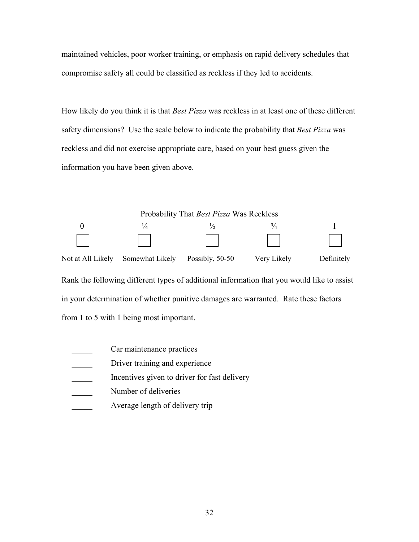maintained vehicles, poor worker training, or emphasis on rapid delivery schedules that compromise safety all could be classified as reckless if they led to accidents.

How likely do you think it is that *Best Pizza* was reckless in at least one of these different safety dimensions? Use the scale below to indicate the probability that *Best Pizza* was reckless and did not exercise appropriate care, based on your best guess given the information you have been given above.



from 1 to 5 with 1 being most important.

- Car maintenance practices
- Driver training and experience
- Incentives given to driver for fast delivery
- Number of deliveries
- Average length of delivery trip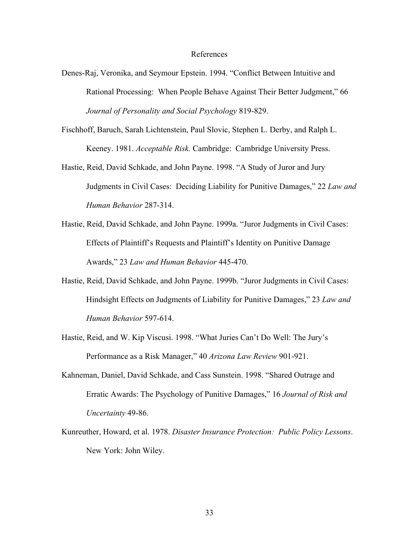#### References

- Denes-Raj, Veronika, and Seymour Epstein. 1994. "Conflict Between Intuitive and Rational Processing: When People Behave Against Their Better Judgment," 66 *Journal of Personality and Social Psychology* 819-829.
- Fischhoff, Baruch, Sarah Lichtenstein, Paul Slovic, Stephen L. Derby, and Ralph L. Keeney. 1981. *Acceptable Risk.* Cambridge: Cambridge University Press.
- Hastie, Reid, David Schkade, and John Payne. 1998. "A Study of Juror and Jury Judgments in Civil Cases: Deciding Liability for Punitive Damages," 22 *Law and Human Behavior* 287-314.
- Hastie, Reid, David Schkade, and John Payne. 1999a. "Juror Judgments in Civil Cases: Effects of Plaintiff's Requests and Plaintiff's Identity on Punitive Damage Awards," 23 *Law and Human Behavior* 445-470.
- Hastie, Reid, David Schkade, and John Payne. 1999b. "Juror Judgments in Civil Cases: Hindsight Effects on Judgments of Liability for Punitive Damages," 23 *Law and Human Behavior* 597-614.
- Hastie, Reid, and W. Kip Viscusi. 1998. "What Juries Can't Do Well: The Jury's Performance as a Risk Manager," 40 *Arizona Law Review* 901-921.
- Kahneman, Daniel, David Schkade, and Cass Sunstein. 1998. "Shared Outrage and Erratic Awards: The Psychology of Punitive Damages," 16 *Journal of Risk and Uncertainty* 49-86.
- Kunreuther, Howard, et al. 1978. *Disaster Insurance Protection: Public Policy Lessons*. New York: John Wiley.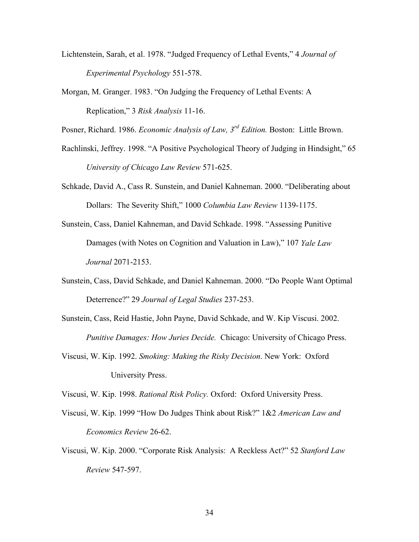- Lichtenstein, Sarah, et al. 1978. "Judged Frequency of Lethal Events," 4 *Journal of Experimental Psychology* 551-578.
- Morgan, M. Granger. 1983. "On Judging the Frequency of Lethal Events: A Replication," 3 *Risk Analysis* 11-16.

Posner, Richard. 1986. *Economic Analysis of Law, 3rd Edition.* Boston: Little Brown.

- Rachlinski, Jeffrey. 1998. "A Positive Psychological Theory of Judging in Hindsight," 65 *University of Chicago Law Review* 571-625.
- Schkade, David A., Cass R. Sunstein, and Daniel Kahneman. 2000. "Deliberating about Dollars: The Severity Shift," 1000 *Columbia Law Review* 1139-1175.
- Sunstein, Cass, Daniel Kahneman, and David Schkade. 1998. "Assessing Punitive Damages (with Notes on Cognition and Valuation in Law)," 107 *Yale Law Journal* 2071-2153.
- Sunstein, Cass, David Schkade, and Daniel Kahneman. 2000. "Do People Want Optimal Deterrence?" 29 *Journal of Legal Studies* 237-253.
- Sunstein, Cass, Reid Hastie, John Payne, David Schkade, and W. Kip Viscusi. 2002. *Punitive Damages: How Juries Decide.* Chicago: University of Chicago Press.
- Viscusi, W. Kip. 1992. *Smoking: Making the Risky Decision*. New York: Oxford University Press.

Viscusi, W. Kip. 1998. *Rational Risk Policy.* Oxford: Oxford University Press.

- Viscusi, W. Kip. 1999 "How Do Judges Think about Risk?" 1&2 *American Law and Economics Review* 26-62.
- Viscusi, W. Kip. 2000. "Corporate Risk Analysis: A Reckless Act?" 52 *Stanford Law Review* 547-597.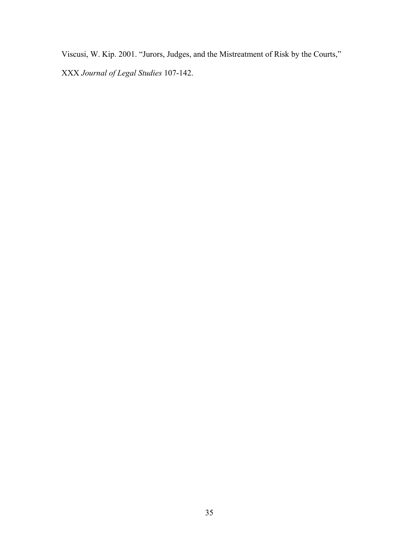Viscusi, W. Kip. 2001. "Jurors, Judges, and the Mistreatment of Risk by the Courts,"

XXX *Journal of Legal Studies* 107-142.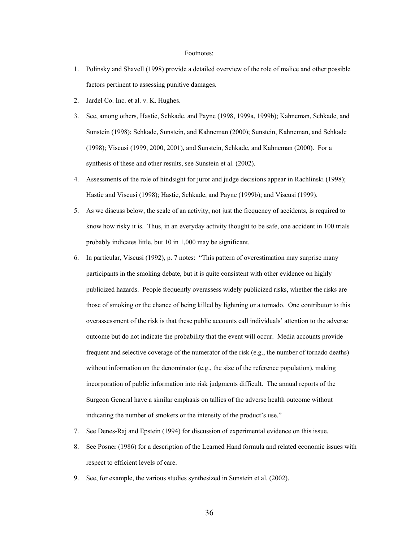#### Footnotes:

- 1. Polinsky and Shavell (1998) provide a detailed overview of the role of malice and other possible factors pertinent to assessing punitive damages.
- 2. Jardel Co. Inc. et al. v. K. Hughes.
- 3. See, among others, Hastie, Schkade, and Payne (1998, 1999a, 1999b); Kahneman, Schkade, and Sunstein (1998); Schkade, Sunstein, and Kahneman (2000); Sunstein, Kahneman, and Schkade (1998); Viscusi (1999, 2000, 2001), and Sunstein, Schkade, and Kahneman (2000). For a synthesis of these and other results, see Sunstein et al. (2002).
- 4. Assessments of the role of hindsight for juror and judge decisions appear in Rachlinski (1998); Hastie and Viscusi (1998); Hastie, Schkade, and Payne (1999b); and Viscusi (1999).
- 5. As we discuss below, the scale of an activity, not just the frequency of accidents, is required to know how risky it is. Thus, in an everyday activity thought to be safe, one accident in 100 trials probably indicates little, but 10 in 1,000 may be significant.
- 6. In particular, Viscusi (1992), p. 7 notes: "This pattern of overestimation may surprise many participants in the smoking debate, but it is quite consistent with other evidence on highly publicized hazards. People frequently overassess widely publicized risks, whether the risks are those of smoking or the chance of being killed by lightning or a tornado. One contributor to this overassessment of the risk is that these public accounts call individuals' attention to the adverse outcome but do not indicate the probability that the event will occur. Media accounts provide frequent and selective coverage of the numerator of the risk (e.g., the number of tornado deaths) without information on the denominator (e.g., the size of the reference population), making incorporation of public information into risk judgments difficult. The annual reports of the Surgeon General have a similar emphasis on tallies of the adverse health outcome without indicating the number of smokers or the intensity of the product's use."
- 7. See Denes-Raj and Epstein (1994) for discussion of experimental evidence on this issue.
- 8. See Posner (1986) for a description of the Learned Hand formula and related economic issues with respect to efficient levels of care.
- 9. See, for example, the various studies synthesized in Sunstein et al. (2002).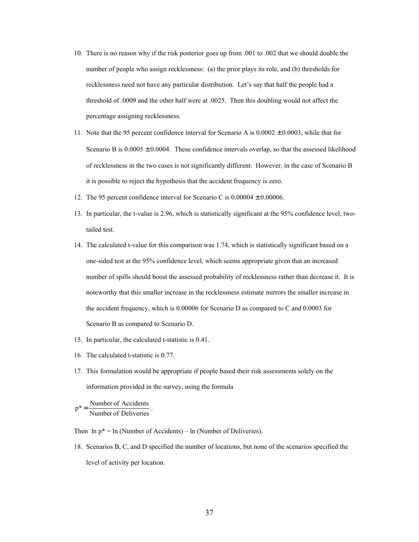- 10. There is no reason why if the risk posterior goes up from .001 to .002 that we should double the number of people who assign recklessness: (a) the prior plays its role, and (b) thresholds for recklessness need not have any particular distribution. Let's say that half the people had a threshold of .0009 and the other half were at .0025. Then this doubling would not affect the percentage assigning recklessness.
- 11. Note that the 95 percent confidence interval for Scenario A is  $0.0002 \pm 0.0003$ , while that for Scenario B is  $0.0005 \pm 0.0004$ . These confidence intervals overlap, so that the assessed likelihood of recklessness in the two cases is not significantly different. However, in the case of Scenario B it is possible to reject the hypothesis that the accident frequency is zero.
- 12. The 95 percent confidence interval for Scenario C is  $0.00004 \pm 0.00006$ .
- 13. In particular, the t-value is 2.96, which is statistically significant at the 95% confidence level, twotailed test.
- 14. The calculated t-value for this comparison was 1.74, which is statistically significant based on a one-sided test at the 95% confidence level, which seems appropriate given that an increased number of spills should boost the assessed probability of recklessness rather than decrease it. It is noteworthy that this smaller increase in the recklessness estimate mirrors the smaller increase in the accident frequency, which is 0.00006 for Scenario D as compared to C and 0.0003 for Scenario B as compared to Scenario D.
- 15. In particular, the calculated t-statistic is 0.41.
- 16. The calculated t-statistic is 0.77.
- 17. This formulation would be appropriate if people based their risk assessments solely on the information provided in the survey, using the formula

 $p^* = \frac{\text{Number of Accidents}}{\text{Number of Deliveries}}$ .

Then  $\ln p^* = \ln(N$ umber of Accidents) –  $\ln(N$ umber of Deliveries).

18. Scenarios B, C, and D specified the number of locations, but none of the scenarios specified the level of activity per location.